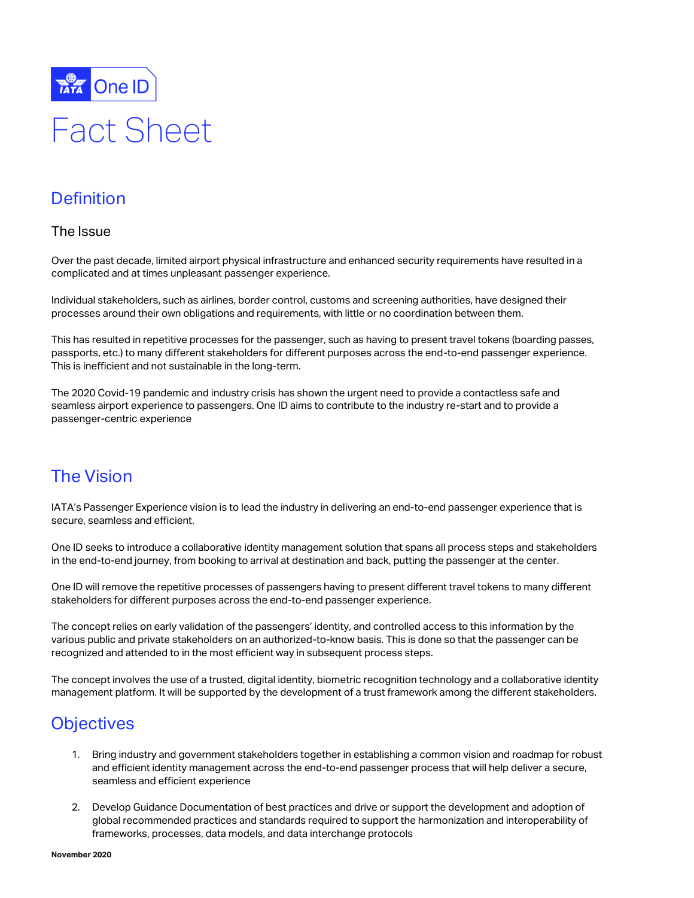

# Fact Sheet

### **Definition**

#### The Issue

Over the past decade, limited airport physical infrastructure and enhanced security requirements have resulted in a complicated and at times unpleasant passenger experience.

Individual stakeholders, such as airlines, border control, customs and screening authorities, have designed their processes around their own obligations and requirements, with little or no coordination between them.

This has resulted in repetitive processes for the passenger, such as having to present travel tokens (boarding passes, passports, etc.) to many different stakeholders for different purposes across the end-to-end passenger experience. This is inefficient and not sustainable in the long-term.

The 2020 Covid-19 pandemic and industry crisis has shown the urgent need to provide a contactless safe and seamless airport experience to passengers. One ID aims to contribute to the industry re-start and to provide a passenger-centric experience

# The Vision

IATA's Passenger Experience vision is to lead the industry in delivering an end-to-end passenger experience that is secure, seamless and efficient.

One ID seeks to introduce a collaborative identity management solution that spans all process steps and stakeholders in the end-to-end journey, from booking to arrival at destination and back, putting the passenger at the center.

One ID will remove the repetitive processes of passengers having to present different travel tokens to many different stakeholders for different purposes across the end-to-end passenger experience.

The concept relies on early validation of the passengers' identity, and controlled access to this information by the various public and private stakeholders on an authorized-to-know basis. This is done so that the passenger can be recognized and attended to in the most efficient way in subsequent process steps.

The concept involves the use of a trusted, digital identity, biometric recognition technology and a collaborative identity management platform. It will be supported by the development of a trust framework among the different stakeholders.

# **Objectives**

- 1. Bring industry and government stakeholders together in establishing a common vision and roadmap for robust and efficient identity management across the end-to-end passenger process that will help deliver a secure, seamless and efficient experience
- 2. Develop Guidance Documentation of best practices and drive or support the development and adoption of global recommended practices and standards required to support the harmonization and interoperability of frameworks, processes, data models, and data interchange protocols